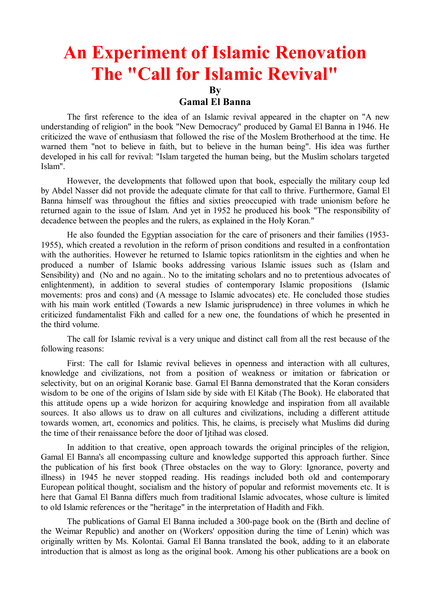## **An Experiment of Islamic Renovation The "Call for Islamic Revival"**

**By**

## **Gamal El Banna**

The first reference to the idea of an Islamic revival appeared in the chapter on "A new understanding of religion" in the book "New Democracy" produced by Gamal El Banna in 1946. He criticized the wave of enthusiasm that followed the rise of the Moslem Brotherhood at the time. He warned them "not to believe in faith, but to believe in the human being". His idea was further developed in his call for revival: "Islam targeted the human being, but the Muslim scholars targeted Islam".

However, the developments that followed upon that book, especially the military coup led by Abdel Nasser did not provide the adequate climate for that call to thrive. Furthermore, Gamal El Banna himself was throughout the fifties and sixties preoccupied with trade unionism before he returned again to the issue of Islam. And yet in 1952 he produced his book "The responsibility of decadence between the peoples and the rulers, as explained in the Holy Koran."

He also founded the Egyptian association for the care of prisoners and their families (1953- 1955), which created a revolution in the reform of prison conditions and resulted in a confrontation with the authorities. However he returned to Islamic topics rationlitsm in the eighties and when he produced a number of Islamic books addressing various Islamic issues such as (Islam and Sensibility) and (No and no again.. No to the imitating scholars and no to pretentious advocates of enlightenment), in addition to several studies of contemporary Islamic propositions (Islamic movements: pros and cons) and (A message to Islamic advocates) etc. He concluded those studies with his main work entitled (Towards a new Islamic jurisprudence) in three volumes in which he criticized fundamentalist Fikh and called for a new one, the foundations of which he presented in the third volume.

The call for Islamic revival is a very unique and distinct call from all the rest because of the following reasons:

First: The call for Islamic revival believes in openness and interaction with all cultures, knowledge and civilizations, not from a position of weakness or imitation or fabrication or selectivity, but on an original Koranic base. Gamal El Banna demonstrated that the Koran considers wisdom to be one of the origins of Islam side by side with El Kitab (The Book). He elaborated that this attitude opens up a wide horizon for acquiring knowledge and inspiration from all available sources. It also allows us to draw on all cultures and civilizations, including a different attitude towards women, art, economics and politics. This, he claims, is precisely what Muslims did during the time of their renaissance before the door of Ijtihad was closed.

In addition to that creative, open approach towards the original principles of the religion, Gamal El Banna's all encompassing culture and knowledge supported this approach further. Since the publication of his first book (Three obstacles on the way to Glory: Ignorance, poverty and illness) in 1945 he never stopped reading. His readings included both old and contemporary European political thought, socialism and the history of popular and reformist movements etc. It is here that Gamal El Banna differs much from traditional Islamic advocates, whose culture is limited to old Islamic references or the "heritage" in the interpretation of Hadith and Fikh.

The publications of Gamal El Banna included a 300-page book on the (Birth and decline of the Weimar Republic) and another on (Workers' opposition during the time of Lenin) which was originally written by Ms. Kolontai. Gamal El Banna translated the book, adding to it an elaborate introduction that is almost as long as the original book. Among his other publications are a book on